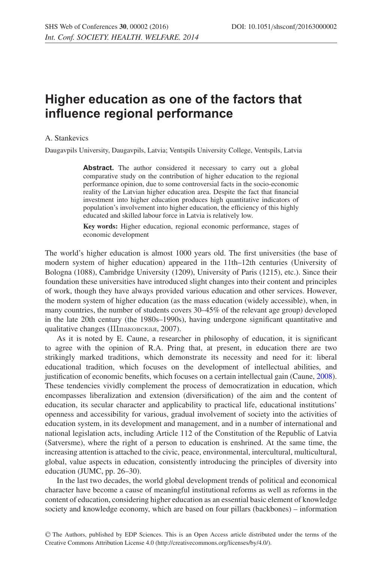## **Higher education as one of the factors that influence regional performance**

## A. Stankevics

Daugavpils University, Daugavpils, Latvia; Ventspils University College, Ventspils, Latvia

Abstract. The author considered it necessary to carry out a global comparative study on the contribution of higher education to the regional performance opinion, due to some controversial facts in the socio-economic reality of the Latvian higher education area. Despite the fact that financial investment into higher education produces high quantitative indicators of population's involvement into higher education, the efficiency of this highly educated and skilled labour force in Latvia is relatively low.

**Key words:** Higher education, regional economic performance, stages of economic development

The world's higher education is almost 1000 years old. The first universities (the base of modern system of higher education) appeared in the 11th–12th centuries (University of Bologna (1088), Cambridge University (1209), University of Paris (1215), etc.). Since their foundation these universities have introduced slight changes into their content and principles of work, though they have always provided various education and other services. However, the modern system of higher education (as the mass education (widely accessible), when, in many countries, the number of students covers 30–45% of the relevant age group) developed in the late 20th century (the 1980s–1990s), having undergone significant quantitative and qualitative changes ( $\text{III}$ паковская, 2007).

As it is noted by E. Caune, a researcher in philosophy of education, it is significant to agree with the opinion of R.A. Pring that, at present, in education there are two strikingly marked traditions, which demonstrate its necessity and need for it: liberal educational tradition, which focuses on the development of intellectual abilities, and justification of economic benefits, which focuses on a certain intellectual gain (Caune, [2008\)](#page-7-0). These tendencies vividly complement the process of democratization in education, which encompasses liberalization and extension (diversification) of the aim and the content of education, its secular character and applicability to practical life, educational institutions' openness and accessibility for various, gradual involvement of society into the activities of education system, in its development and management, and in a number of international and national legislation acts, including Article 112 of the Constitution of the Republic of Latvia (Satversme), where the right of a person to education is enshrined. At the same time, the increasing attention is attached to the civic, peace, environmental, intercultural, multicultural, global, value aspects in education, consistently introducing the principles of diversity into education (JUMC, pp. 26–30).

In the last two decades, the world global development trends of political and economical character have become a cause of meaningful institutional reforms as well as reforms in the content of education, considering higher education as an essential basic element of knowledge society and knowledge economy, which are based on four pillars (backbones) – information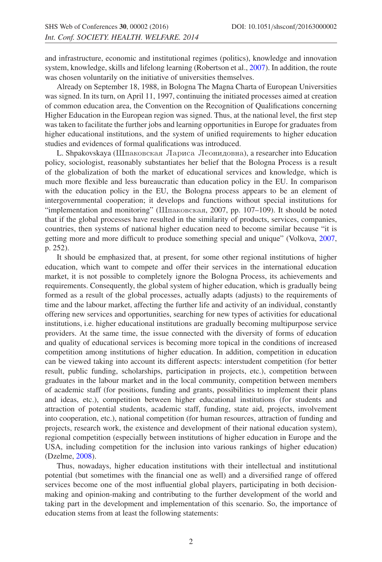and infrastructure, economic and institutional regimes (politics), knowledge and innovation system, knowledge, skills and lifelong learning (Robertson et al., [2007\)](#page-8-0). In addition, the route was chosen voluntarily on the initiative of universities themselves.

Already on September 18, 1988, in Bologna The Magna Charta of European Universities was signed. In its turn, on April 11, 1997, continuing the initiated processes aimed at creation of common education area, the Convention on the Recognition of Qualifications concerning Higher Education in the European region was signed. Thus, at the national level, the first step was taken to facilitate the further jobs and learning opportunities in Europe for graduates from higher educational institutions, and the system of unified requirements to higher education studies and evidences of formal qualifications was introduced.

L. Shpakovskaya (Щпаковская Лариса Леонидовна), a researcher into Education policy, sociologist, reasonably substantiates her belief that the Bologna Process is a result of the globalization of both the market of educational services and knowledge, which is much more flexible and less bureaucratic than education policy in the EU. In comparison with the education policy in the EU, the Bologna process appears to be an element of intergovernmental cooperation; it develops and functions without special institutions for "implementation and monitoring" ( $\text{III}\xspace$ паковская, 2007, pp. 107–109). It should be noted that if the global processes have resulted in the similarity of products, services, companies, countries, then systems of national higher education need to become similar because "it is getting more and more difficult to produce something special and unique" (Volkova, [2007,](#page-8-1) p. 252).

It should be emphasized that, at present, for some other regional institutions of higher education, which want to compete and offer their services in the international education market, it is not possible to completely ignore the Bologna Process, its achievements and requirements. Consequently, the global system of higher education, which is gradually being formed as a result of the global processes, actually adapts (adjusts) to the requirements of time and the labour market, affecting the further life and activity of an individual, constantly offering new services and opportunities, searching for new types of activities for educational institutions, i.e. higher educational institutions are gradually becoming multipurpose service providers. At the same time, the issue connected with the diversity of forms of education and quality of educational services is becoming more topical in the conditions of increased competition among institutions of higher education. In addition, competition in education can be viewed taking into account its different aspects: interstudent competition (for better result, public funding, scholarships, participation in projects, etc.), competition between graduates in the labour market and in the local community, competition between members of academic staff (for positions, funding and grants, possibilities to implement their plans and ideas, etc.), competition between higher educational institutions (for students and attraction of potential students, academic staff, funding, state aid, projects, involvement into cooperation, etc.), national competition (for human resources, attraction of funding and projects, research work, the existence and development of their national education system), regional competition (especially between institutions of higher education in Europe and the USA, including competition for the inclusion into various rankings of higher education) (Dzelme, [2008\)](#page-7-1).

Thus, nowadays, higher education institutions with their intellectual and institutional potential (but sometimes with the financial one as well) and a diversified range of offered services become one of the most influential global players, participating in both decisionmaking and opinion-making and contributing to the further development of the world and taking part in the development and implementation of this scenario. So, the importance of education stems from at least the following statements: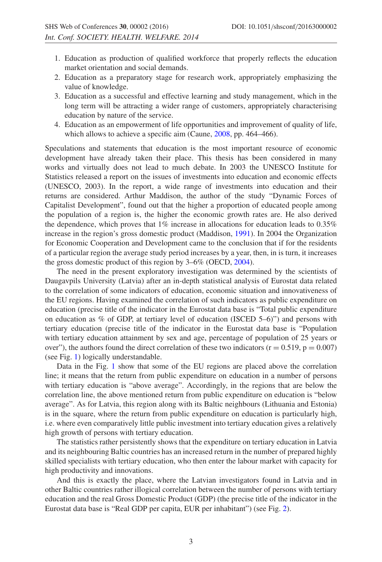- 1. Education as production of qualified workforce that properly reflects the education market orientation and social demands.
- 2. Education as a preparatory stage for research work, appropriately emphasizing the value of knowledge.
- 3. Education as a successful and effective learning and study management, which in the long term will be attracting a wider range of customers, appropriately characterising education by nature of the service.
- 4. Education as an empowerment of life opportunities and improvement of quality of life, which allows to achieve a specific aim (Caune, [2008,](#page-7-0) pp. 464–466).

Speculations and statements that education is the most important resource of economic development have already taken their place. This thesis has been considered in many works and virtually does not lead to much debate. In 2003 the UNESCO Institute for Statistics released a report on the issues of investments into education and economic effects (UNESCO, 2003). In the report, a wide range of investments into education and their returns are considered. Arthur Maddison, the author of the study "Dynamic Forces of Capitalist Development", found out that the higher a proportion of educated people among the population of a region is, the higher the economic growth rates are. He also derived the dependence, which proves that  $1\%$  increase in allocations for education leads to 0.35% increase in the region's gross domestic product (Maddison, [1991\)](#page-7-2). In 2004 the Organization for Economic Cooperation and Development came to the conclusion that if for the residents of a particular region the average study period increases by a year, then, in is turn, it increases the gross domestic product of this region by 3–6% (OECD, [2004\)](#page-8-2).

The need in the present exploratory investigation was determined by the scientists of Daugavpils University (Latvia) after an in-depth statistical analysis of Eurostat data related to the correlation of some indicators of education, economic situation and innovativeness of the EU regions. Having examined the correlation of such indicators as public expenditure on education (precise title of the indicator in the Eurostat data base is "Total public expenditure on education as  $\%$  of GDP, at tertiary level of education (ISCED 5–6)") and persons with tertiary education (precise title of the indicator in the Eurostat data base is "Population with tertiary education attainment by sex and age, percentage of population of 25 years or over"), the authors found the direct correlation of these two indicators ( $r = 0.519$ ,  $p = 0.007$ ) (see Fig. [1\)](#page-3-0) logically understandable.

Data in the Fig. [1](#page-3-0) show that some of the EU regions are placed above the correlation line; it means that the return from public expenditure on education in a number of persons with tertiary education is "above average". Accordingly, in the regions that are below the correlation line, the above mentioned return from public expenditure on education is "below average". As for Latvia, this region along with its Baltic neighbours (Lithuania and Estonia) is in the square, where the return from public expenditure on education is particularly high, i.e. where even comparatively little public investment into tertiary education gives a relatively high growth of persons with tertiary education.

The statistics rather persistently shows that the expenditure on tertiary education in Latvia and its neighbouring Baltic countries has an increased return in the number of prepared highly skilled specialists with tertiary education, who then enter the labour market with capacity for high productivity and innovations.

And this is exactly the place, where the Latvian investigators found in Latvia and in other Baltic countries rather illogical correlation between the number of persons with tertiary education and the real Gross Domestic Product (GDP) (the precise title of the indicator in the Eurostat data base is "Real GDP per capita, EUR per inhabitant") (see Fig. [2\)](#page-4-0).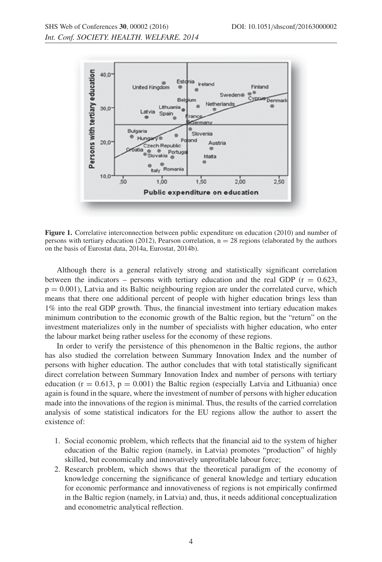<span id="page-3-0"></span>

**Figure 1.** Correlative interconnection between public expenditure on education (2010) and number of persons with tertiary education (2012), Pearson correlation,  $n = 28$  regions (elaborated by the authors on the basis of Eurostat data, 2014a, Eurostat, 2014b).

Although there is a general relatively strong and statistically significant correlation between the indicators – persons with tertiary education and the real GDP ( $r = 0.623$ ,  $p = 0.001$ ), Latvia and its Baltic neighbouring region are under the correlated curve, which means that there one additional percent of people with higher education brings less than 1% into the real GDP growth. Thus, the financial investment into tertiary education makes minimum contribution to the economic growth of the Baltic region, but the "return" on the investment materializes only in the number of specialists with higher education, who enter the labour market being rather useless for the economy of these regions.

In order to verify the persistence of this phenomenon in the Baltic regions, the author has also studied the correlation between Summary Innovation Index and the number of persons with higher education. The author concludes that with total statistically significant direct correlation between Summary Innovation Index and number of persons with tertiary education ( $r = 0.613$ ,  $p = 0.001$ ) the Baltic region (especially Latvia and Lithuania) once again is found in the square, where the investment of number of persons with higher education made into the innovations of the region is minimal. Thus, the results of the carried correlation analysis of some statistical indicators for the EU regions allow the author to assert the existence of:

- 1. Social economic problem, which reflects that the financial aid to the system of higher education of the Baltic region (namely, in Latvia) promotes "production" of highly skilled, but economically and innovatively unprofitable labour force;
- 2. Research problem, which shows that the theoretical paradigm of the economy of knowledge concerning the significance of general knowledge and tertiary education for economic performance and innovativeness of regions is not empirically confirmed in the Baltic region (namely, in Latvia) and, thus, it needs additional conceptualization and econometric analytical reflection.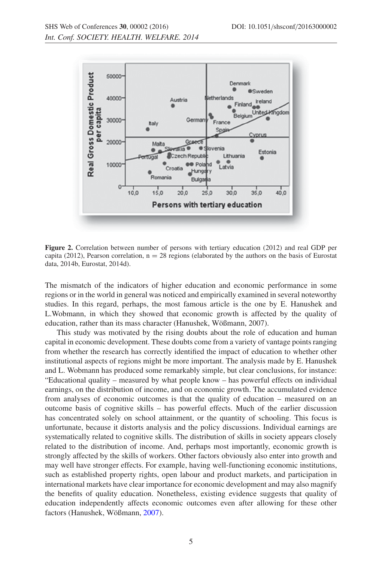<span id="page-4-0"></span>

**Figure 2.** Correlation between number of persons with tertiary education (2012) and real GDP per capita (2012), Pearson correlation,  $n = 28$  regions (elaborated by the authors on the basis of Eurostat data, 2014b, Eurostat, 2014d).

The mismatch of the indicators of higher education and economic performance in some regions or in the world in general was noticed and empirically examined in several noteworthy studies. In this regard, perhaps, the most famous article is the one by E. Hanushek and L.Wobmann, in which they showed that economic growth is affected by the quality of education, rather than its mass character (Hanushek, Wößmann, 2007).

This study was motivated by the rising doubts about the role of education and human capital in economic development. These doubts come from a variety of vantage points ranging from whether the research has correctly identified the impact of education to whether other institutional aspects of regions might be more important. The analysis made by E. Hanushek and L. Wobmann has produced some remarkably simple, but clear conclusions, for instance: "Educational quality – measured by what people know – has powerful effects on individual earnings, on the distribution of income, and on economic growth. The accumulated evidence from analyses of economic outcomes is that the quality of education – measured on an outcome basis of cognitive skills – has powerful effects. Much of the earlier discussion has concentrated solely on school attainment, or the quantity of schooling. This focus is unfortunate, because it distorts analysis and the policy discussions. Individual earnings are systematically related to cognitive skills. The distribution of skills in society appears closely related to the distribution of income. And, perhaps most importantly, economic growth is strongly affected by the skills of workers. Other factors obviously also enter into growth and may well have stronger effects. For example, having well-functioning economic institutions, such as established property rights, open labour and product markets, and participation in international markets have clear importance for economic development and may also magnify the benefits of quality education. Nonetheless, existing evidence suggests that quality of education independently affects economic outcomes even after allowing for these other factors (Hanushek, Wößmann, [2007\)](#page-7-3).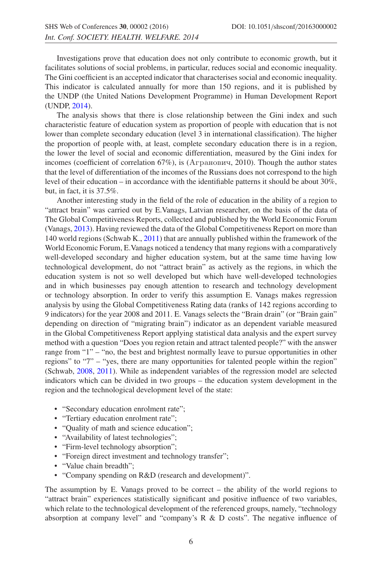Investigations prove that education does not only contribute to economic growth, but it facilitates solutions of social problems, in particular, reduces social and economic inequality. The Gini coefficient is an accepted indicator that characterises social and economic inequality. This indicator is calculated annually for more than 150 regions, and it is published by the UNDP (the United Nations Development Programme) in Human Development Report (UNDP, [2014\)](#page-8-3).

The analysis shows that there is close relationship between the Gini index and such characteristic feature of education system as proportion of people with education that is not lower than complete secondary education (level 3 in international classification). The higher the proportion of people with, at least, complete secondary education there is in a region, the lower the level of social and economic differentiation, measured by the Gini index for incomes (coefficient of correlation  $67\%$ ), is ( $A_{\text{TPaHOBH}}$ , 2010). Though the author states that the level of differentiation of the incomes of the Russians does not correspond to the high level of their education – in accordance with the identifiable patterns it should be about 30%, but, in fact, it is 37.5%.

Another interesting study in the field of the role of education in the ability of a region to "attract brain" was carried out by E.Vanags, Latvian researcher, on the basis of the data of The Global Competitiveness Reports, collected and published by the World Economic Forum (Vanags, [2013\)](#page-8-4). Having reviewed the data of the Global Competitiveness Report on more than 140 world regions (Schwab K., [2011\)](#page-8-5) that are annually published within the framework of the World Economic Forum, E.Vanags noticed a tendency that many regions with a comparatively well-developed secondary and higher education system, but at the same time having low technological development, do not "attract brain" as actively as the regions, in which the education system is not so well developed but which have well-developed technologies and in which businesses pay enough attention to research and technology development or technology absorption. In order to verify this assumption E. Vanags makes regression analysis by using the Global Competitiveness Rating data (ranks of 142 regions according to 9 indicators) for the year 2008 and 2011. E. Vanags selects the "Brain drain" (or "Brain gain" depending on direction of "migrating brain") indicator as an dependent variable measured in the Global Competitiveness Report applying statistical data analysis and the expert survey method with a question "Does you region retain and attract talented people?" with the answer range from "1" – "no, the best and brightest normally leave to pursue opportunities in other regions" to "7" – "yes, there are many opportunities for talented people within the region" (Schwab, [2008,](#page-8-6) [2011\)](#page-8-5). While as independent variables of the regression model are selected indicators which can be divided in two groups – the education system development in the region and the technological development level of the state:

- "Secondary education enrolment rate";
- "Tertiary education enrolment rate";
- "Quality of math and science education";
- "Availability of latest technologies";
- "Firm-level technology absorption";
- "Foreign direct investment and technology transfer";
- "Value chain breadth";
- "Company spending on R&D (research and development)".

The assumption by E. Vanags proved to be correct – the ability of the world regions to "attract brain" experiences statistically significant and positive influence of two variables, which relate to the technological development of the referenced groups, namely, "technology absorption at company level" and "company's R  $\&$  D costs". The negative influence of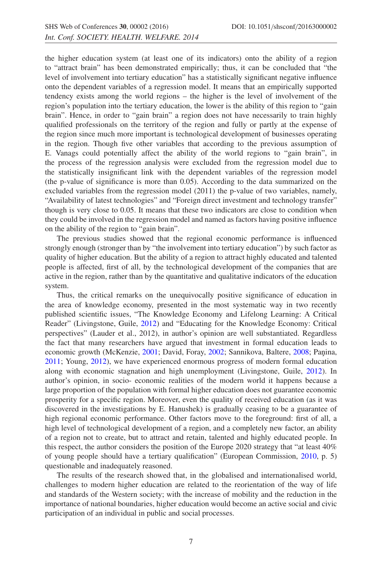the higher education system (at least one of its indicators) onto the ability of a region to "attract brain" has been demonstrated empirically; thus, it can be concluded that "the level of involvement into tertiary education" has a statistically significant negative influence onto the dependent variables of a regression model. It means that an empirically supported tendency exists among the world regions – the higher is the level of involvement of the region's population into the tertiary education, the lower is the ability of this region to "gain brain". Hence, in order to "gain brain" a region does not have necessarily to train highly qualified professionals on the territory of the region and fully or partly at the expense of the region since much more important is technological development of businesses operating in the region. Though five other variables that according to the previous assumption of E. Vanags could potentially affect the ability of the world regions to "gain brain", in the process of the regression analysis were excluded from the regression model due to the statistically insignificant link with the dependent variables of the regression model (the p-value of significance is more than 0.05). According to the data summarized on the excluded variables from the regression model (2011) the p-value of two variables, namely, "Availability of latest technologies" and "Foreign direct investment and technology transfer" though is very close to 0.05. It means that these two indicators are close to condition when they could be involved in the regression model and named as factors having positive influence on the ability of the region to "gain brain".

The previous studies showed that the regional economic performance is influenced strongly enough (stronger than by "the involvement into tertiary education") by such factor as quality of higher education. But the ability of a region to attract highly educated and talented people is affected, first of all, by the technological development of the companies that are active in the region, rather than by the quantitative and qualitative indicators of the education system.

Thus, the critical remarks on the unequivocally positive significance of education in the area of knowledge economy, presented in the most systematic way in two recently published scientific issues, "The Knowledge Economy and Lifelong Learning: A Critical Reader" (Livingstone, Guile, [2012\)](#page-7-4) and "Educating for the Knowledge Economy: Critical perspectives" (Lauder et al., 2012), in author's opinion are well substantiated. Regardless the fact that many researchers have argued that investment in formal education leads to economic growth (McKenzie, [2001;](#page-7-5) David, Foray, [2002;](#page-7-6) Sannikova, Baltere, [2008;](#page-8-7) Panina, [2011;](#page-8-8) Young, [2012\)](#page-8-9), we have experienced enormous progress of modern formal education along with economic stagnation and high unemployment (Livingstone, Guile, [2012\)](#page-7-4). In author's opinion, in socio- economic realities of the modern world it happens because a large proportion of the population with formal higher education does not guarantee economic prosperity for a specific region. Moreover, even the quality of received education (as it was discovered in the investigations by E. Hanushek) is gradually ceasing to be a guarantee of high regional economic performance. Other factors move to the foreground: first of all, a high level of technological development of a region, and a completely new factor, an ability of a region not to create, but to attract and retain, talented and highly educated people. In this respect, the author considers the position of the Europe 2020 strategy that "at least 40% of young people should have a tertiary qualification" (European Commission, [2010,](#page-7-7) p. 5) questionable and inadequately reasoned.

The results of the research showed that, in the globalised and internationalised world, challenges to modern higher education are related to the reorientation of the way of life and standards of the Western society; with the increase of mobility and the reduction in the importance of national boundaries, higher education would become an active social and civic participation of an individual in public and social processes.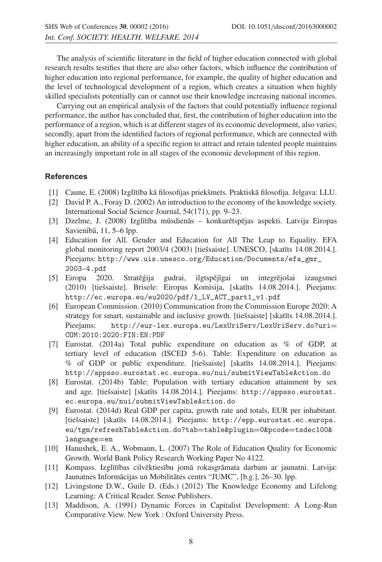The analysis of scientific literature in the field of higher education connected with global research results testifies that there are also other factors, which influence the contribution of higher education into regional performance, for example, the quality of higher education and the level of technological development of a region, which creates a situation when highly skilled specialists potentially can or cannot use their knowledge increasing national incomes.

Carrying out an empirical analysis of the factors that could potentially influence regional performance, the author has concluded that, first, the contribution of higher education into the performance of a region, which is at different stages of its economic development, also varies; secondly, apart from the identified factors of regional performance, which are connected with higher education, an ability of a specific region to attract and retain talented people maintains an increasingly important role in all stages of the economic development of this region.

## **References**

- [1] Caune, E. (2008) Izglītība kā filosofijas priekšmets. Praktiskā filosofija. Jelgava: LLU.
- <span id="page-7-6"></span><span id="page-7-0"></span>[2] David P. A., Foray D. (2002) An introduction to the economy of the knowledge society. International Social Science Journal, 54(171), pp. 9–23.
- <span id="page-7-1"></span>[3] Dzelme, J. (2008) Izglītība mūsdienās – konkurētspējas aspekti. Latvija Eiropas Savienībā, 11, 5–6 lpp.
- [4] Education for All. Gender and Education for All The Leap to Equality. EFA global monitoring report 2003/4 (2003) [tiešsaiste]. UNESCO, [skatīts 14.08.2014.]. Pieejams: http://www.uis.unesco.org/Education/Documents/efa\_gmr\_ 2003-4.pdf
- [5] Eiropa 2020. Stratēģija gudrai, ilgtspējīgai un integrējošai izaugsmei (2010) [tiešsaiste]. Brisele: Eiropas Komisija, [skatīts 14.08.2014.]. Pieejams: http://ec.europa.eu/eu2020/pdf/1\_LV\_ACT\_part1\_v1.pdf
- <span id="page-7-7"></span>[6] European Commission. (2010) Communication from the Commission Europe 2020: A strategy for smart, sustainable and inclusive growth. [tiešsaiste] [skatīts 14.08.2014.]. Pieejams: http://eur-lex.europa.eu/LexUriServ/LexUriServ.do?uri= COM:2010:2020:FIN:EN:PDF
- [7] Eurostat. (2014a) Total public expenditure on education as % of GDP, at tertiary level of education (ISCED 5-6). Table: Expenditure on education as % of GDP or public expenditure. [tiešsaiste] [skatīts 14.08.2014.]. Pieejams: http://appsso.eurostat.ec.europa.eu/nui/submitViewTableAction.do
- [8] Eurostat. (2014b) Table: Population with tertiary education attainment by sex and age. [tiešsaiste] [skatīts 14.08.2014.]. Pieejams: http://appsso.eurostat. ec.europa.eu/nui/submitViewTableAction.do
- [9] Eurostat. (2014d) Real GDP per capita, growth rate and totals, EUR per inhabitant. [tiešsaiste] [skatīts 14.08.2014.]. Pieejams: http://epp.eurostat.ec.europa. eu/tgm/refreshTableAction.do?tab=table&plugin=0&pcode=tsdec100& language=en
- <span id="page-7-3"></span>[10] Hanushek, E. A., Wobmann, L. (2007) The Role of Education Quality for Economic Growth. World Bank Policy Research Working Paper No 4122.
- [11] Kompass. Izglītības cilvēktiesību jomā rokasgrāmata darbam ar jaunatni. Latvija: Jaunatnes Informācijas un Mobilitātes centrs "JUMC", [b.g.], 26–30. lpp.
- <span id="page-7-4"></span>[12] Livingstone D.W., Guile D. (Eds.) (2012) The Knowledge Economy and Lifelong Learning: A Critical Reader. Sense Publishers.
- <span id="page-7-5"></span><span id="page-7-2"></span>[13] Maddison, A. (1991) Dynamic Forces in Capitalist Development: A Long-Run Comparative View. New York : Oxford University Press.